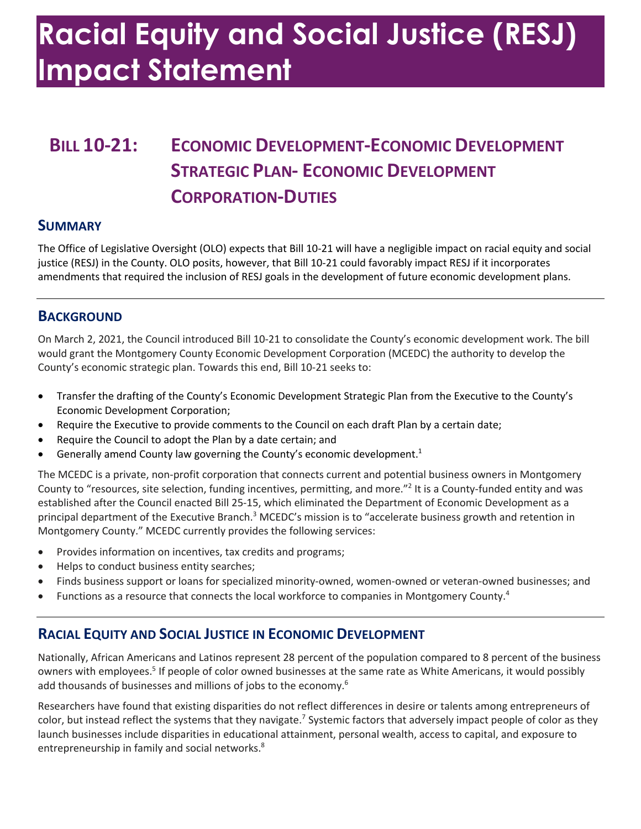# **Racial Equity and Social Justice (RESJ) Impact Statement**

### **BILL 10-21: ECONOMIC DEVELOPMENT-ECONOMIC DEVELOPMENT STRATEGIC PLAN- ECONOMIC DEVELOPMENT CORPORATION-DUTIES**

#### **SUMMARY**

 The Office of Legislative Oversight (OLO) expects that Bill 10-21 will have a negligible impact on racial equity and social justice (RESJ) in the County. OLO posits, however, that Bill 10-21 could favorably impact RESJ if it incorporates amendments that required the inclusion of RESJ goals in the development of future economic development plans.

#### **BACKGROUND**

 On March 2, 2021, the Council introduced Bill 10-21 to consolidate the County's economic development work. The bill would grant the Montgomery County Economic Development Corporation (MCEDC) the authority to develop the County's economic strategic plan. Towards this end, Bill 10-21 seeks to:

- • Transfer the drafting of the County's Economic Development Strategic Plan from the Executive to the County's Economic Development Corporation;
- Require the Executive to provide comments to the Council on each draft Plan by a certain date;
- Require the Council to adopt the Plan by a date certain; and
- **•** Generally amend County law governing the County's economic development.<sup>1</sup>

 The MCEDC is a private, non-profit corporation that connects current and potential business owners in Montgomery County to "resources, site selection, funding incentives, permitting, and more."<sup>2</sup> It is a County-funded entity and was established after the Council enacted Bill 25-15, which eliminated the Department of Economic Development as a principal department of the Executive Branch.<sup>3</sup> MCEDC's mission is to "accelerate business growth and retention in Montgomery County." MCEDC currently provides the following services:

- Provides information on incentives, tax credits and programs;
- Helps to conduct business entity searches;
- Finds business support or loans for specialized minority-owned, women-owned or veteran-owned businesses; and
- Functions as a resource that connects the local workforce to companies in Montgomery County.<sup>4</sup>

#### **RACIAL EQUITY AND SOCIAL JUSTICE IN ECONOMIC DEVELOPMENT**

 Nationally, African Americans and Latinos represent 28 percent of the population compared to 8 percent of the business add thousands of businesses and millions of jobs to the economy.<sup>6</sup> owners with employees.5 If people of color owned businesses at the same rate as White Americans, it would possibly

 Researchers have found that existing disparities do not reflect differences in desire or talents among entrepreneurs of entrepreneurship in family and social networks.<sup>8</sup> color, but instead reflect the systems that they navigate.<sup>7</sup> Systemic factors that adversely impact people of color as they launch businesses include disparities in educational attainment, personal wealth, access to capital, and exposure to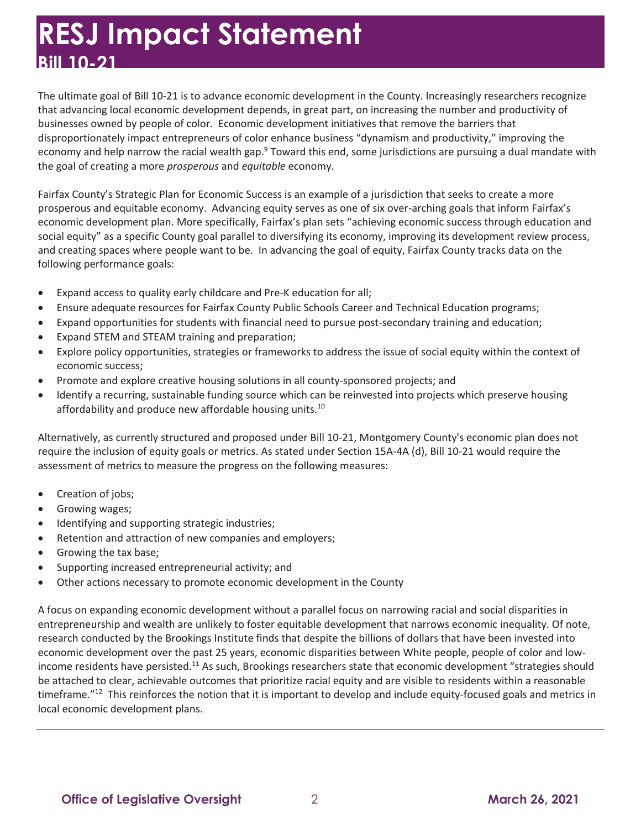### **RESJ Impact Statement Bill 10-21**

 The ultimate goal of Bill 10-21 is to advance economic development in the County. Increasingly researchers recognize that advancing local economic development depends, in great part, on increasing the number and productivity of businesses owned by people of color. Economic development initiatives that remove the barriers that disproportionately impact entrepreneurs of color enhance business "dynamism and productivity," improving the economy and help narrow the racial wealth gap.<sup>9</sup> Toward this end, some jurisdictions are pursuing a dual mandate with the goal of creating a more *prosperous* and *equitable* economy.

 Fairfax County's Strategic Plan for Economic Success is an example of a jurisdiction that seeks to create a more prosperous and equitable economy. Advancing equity serves as one of six over-arching goals that inform Fairfax's economic development plan. More specifically, Fairfax's plan sets "achieving economic success through education and social equity" as a specific County goal parallel to diversifying its economy, improving its development review process, and creating spaces where people want to be. In advancing the goal of equity, Fairfax County tracks data on the following performance goals:

- Expand access to quality early childcare and Pre-K education for all;
- Ensure adequate resources for Fairfax County Public Schools Career and Technical Education programs;
- Expand opportunities for students with financial need to pursue post-secondary training and education;
- Expand STEM and STEAM training and preparation;
- • Explore policy opportunities, strategies or frameworks to address the issue of social equity within the context of economic success;
- Promote and explore creative housing solutions in all county-sponsored projects; and
- affordability and produce new affordable housing units.<sup>10</sup> • Identify a recurring, sustainable funding source which can be reinvested into projects which preserve housing

 Alternatively, as currently structured and proposed under Bill 10-21, Montgomery County's economic plan does not require the inclusion of equity goals or metrics. As stated under Section 15A-4A (d), Bill 10-21 would require the assessment of metrics to measure the progress on the following measures:

- Creation of jobs;
- Growing wages;
- Identifying and supporting strategic industries;
- Retention and attraction of new companies and employers;
- Growing the tax base;
- Supporting increased entrepreneurial activity; and
- Other actions necessary to promote economic development in the County

 A focus on expanding economic development without a parallel focus on narrowing racial and social disparities in entrepreneurship and wealth are unlikely to foster equitable development that narrows economic inequality. Of note, research conducted by the Brookings Institute finds that despite the billions of dollars that have been invested into economic development over the past 25 years, economic disparities between White people, people of color and lowincome residents have persisted.<sup>11</sup> As such, Brookings researchers state that economic development "strategies should be attached to clear, achievable outcomes that prioritize racial equity and are visible to residents within a reasonable timeframe."<sup>12</sup> This reinforces the notion that it is important to develop and include equity-focused goals and metrics in local economic development plans.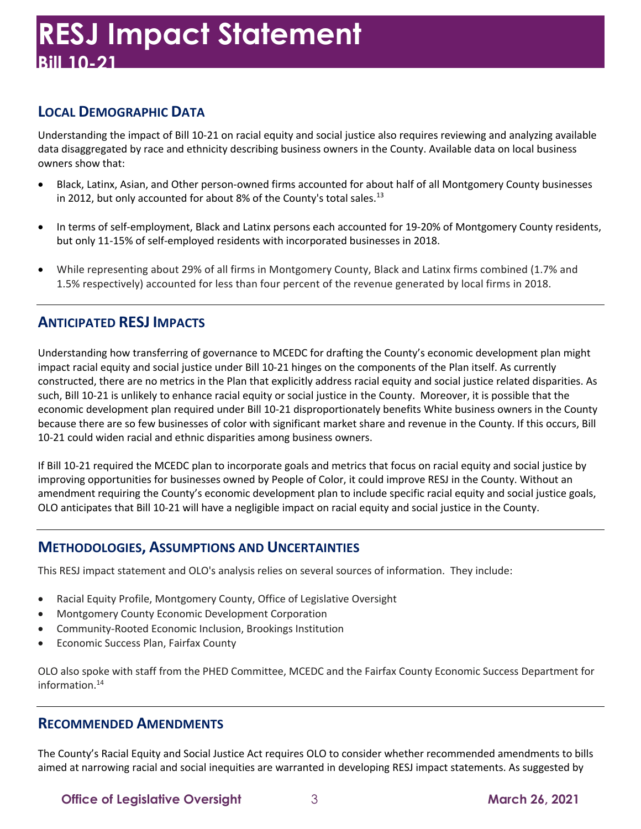#### **LOCAL DEMOGRAPHIC DATA**

 Understanding the impact of Bill 10-21 on racial equity and social justice also requires reviewing and analyzing available data disaggregated by race and ethnicity describing business owners in the County. Available data on local business owners show that:

- • Black, Latinx, Asian, and Other person-owned firms accounted for about half of all Montgomery County businesses in 2012, but only accounted for about 8% of the County's total [sales.](https://sales.13)<sup>13</sup>
- • In terms of self-employment, Black and Latinx persons each accounted for 19-20% of Montgomery County residents, but only 11-15% of self-employed residents with incorporated businesses in 2018.
- • While representing about 29% of all firms in Montgomery County, Black and Latinx firms combined (1.7% and 1.5% respectively) accounted for less than four percent of the revenue generated by local firms in 2018.

#### **ANTICIPATED RESJ IMPACTS**

 Understanding how transferring of governance to MCEDC for drafting the County's economic development plan might impact racial equity and social justice under Bill 10-21 hinges on the components of the Plan itself. As currently constructed, there are no metrics in the Plan that explicitly address racial equity and social justice related disparities. As such, Bill 10-21 is unlikely to enhance racial equity or social justice in the County. Moreover, it is possible that the economic development plan required under Bill 10-21 disproportionately benefits White business owners in the County because there are so few businesses of color with significant market share and revenue in the County. If this occurs, Bill 10-21 could widen racial and ethnic disparities among business owners.

 If Bill 10-21 required the MCEDC plan to incorporate goals and metrics that focus on racial equity and social justice by improving opportunities for businesses owned by People of Color, it could improve RESJ in the County. Without an amendment requiring the County's economic development plan to include specific racial equity and social justice goals, OLO anticipates that Bill 10-21 will have a negligible impact on racial equity and social justice in the County.

#### **METHODOLOGIES, ASSUMPTIONS AND UNCERTAINTIES**

This RESJ impact statement and OLO's analysis relies on several sources of information. They include:

- Racial Equity Profile, Montgomery County, Office of Legislative Oversight
- Montgomery County Economic Development Corporation
- Community-Rooted Economic Inclusion, Brookings Institution
- Economic Success Plan, Fairfax County

 OLO also spoke with staff from the PHED Committee, MCEDC and the Fairfax County Economic Success Department for information.<sup>14</sup>

#### **RECOMMENDED AMENDMENTS**

 The County's Racial Equity and Social Justice Act requires OLO to consider whether recommended amendments to bills aimed at narrowing racial and social inequities are warranted in developing RESJ impact statements. As suggested by